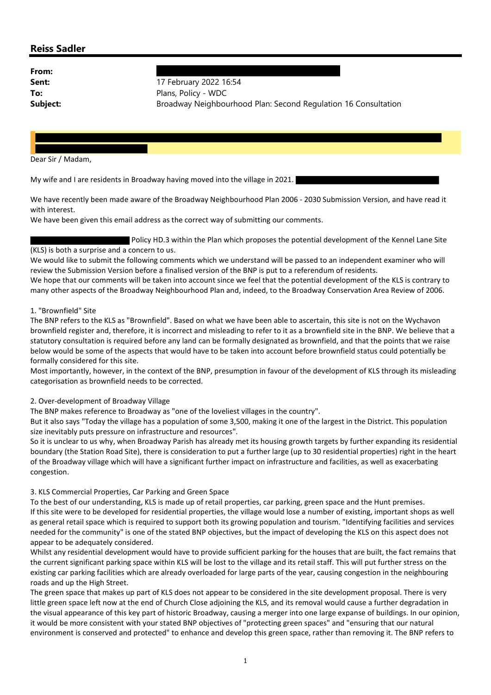## Reiss Sadler

From:

**Sent:** 17 February 2022 16:54

To: Plans, Policy - WDC

**Subject:** Broadway Neighbourhood Plan: Second Regulation 16 Consultation 16 Consultation

Dear Sir / Madam,

My wife and I are residents in Broadway having moved into the village in 2021.

We have recently been made aware of the Broadway Neighbourhood Plan 2006 - 2030 Submission Version, and have read it with interest.

We have been given this email address as the correct way of submitting our comments.

 Policy HD.3 within the Plan which proposes the potential development of the Kennel Lane Site (KLS) is both a surprise and a concern to us.

We would like to submit the following comments which we understand will be passed to an independent examiner who will review the Submission Version before a finalised version of the BNP is put to a referendum of residents.

We hope that our comments will be taken into account since we feel that the potential development of the KLS is contrary to many other aspects of the Broadway Neighbourhood Plan and, indeed, to the Broadway Conservation Area Review of 2006.

## 1. "Brownfield" Site

The BNP refers to the KLS as "Brownfield". Based on what we have been able to ascertain, this site is not on the Wychavon brownfield register and, therefore, it is incorrect and misleading to refer to it as a brownfield site in the BNP. We believe that a statutory consultation is required before any land can be formally designated as brownfield, and that the points that we raise below would be some of the aspects that would have to be taken into account before brownfield status could potentially be formally considered for this site.

Most importantly, however, in the context of the BNP, presumption in favour of the development of KLS through its misleading categorisation as brownfield needs to be corrected.

## 2. Over-development of Broadway Village

The BNP makes reference to Broadway as "one of the loveliest villages in the country".

But it also says "Today the village has a population of some 3,500, making it one of the largest in the District. This population size inevitably puts pressure on infrastructure and resources".

So it is unclear to us why, when Broadway Parish has already met its housing growth targets by further expanding its residential boundary (the Station Road Site), there is consideration to put a further large (up to 30 residential properties) right in the heart of the Broadway village which will have a significant further impact on infrastructure and facilities, as well as exacerbating congestion.

## 3. KLS Commercial Properties, Car Parking and Green Space

To the best of our understanding, KLS is made up of retail properties, car parking, green space and the Hunt premises. If this site were to be developed for residential properties, the village would lose a number of existing, important shops as well as general retail space which is required to support both its growing population and tourism. "Identifying facilities and services needed for the community" is one of the stated BNP objectives, but the impact of developing the KLS on this aspect does not appear to be adequately considered.

Whilst any residential development would have to provide sufficient parking for the houses that are built, the fact remains that the current significant parking space within KLS will be lost to the village and its retail staff. This will put further stress on the existing car parking facilities which are already overloaded for large parts of the year, causing congestion in the neighbouring roads and up the High Street.

The green space that makes up part of KLS does not appear to be considered in the site development proposal. There is very little green space left now at the end of Church Close adjoining the KLS, and its removal would cause a further degradation in the visual appearance of this key part of historic Broadway, causing a merger into one large expanse of buildings. In our opinion, it would be more consistent with your stated BNP objectives of "protecting green spaces" and "ensuring that our natural environment is conserved and protected" to enhance and develop this green space, rather than removing it. The BNP refers to